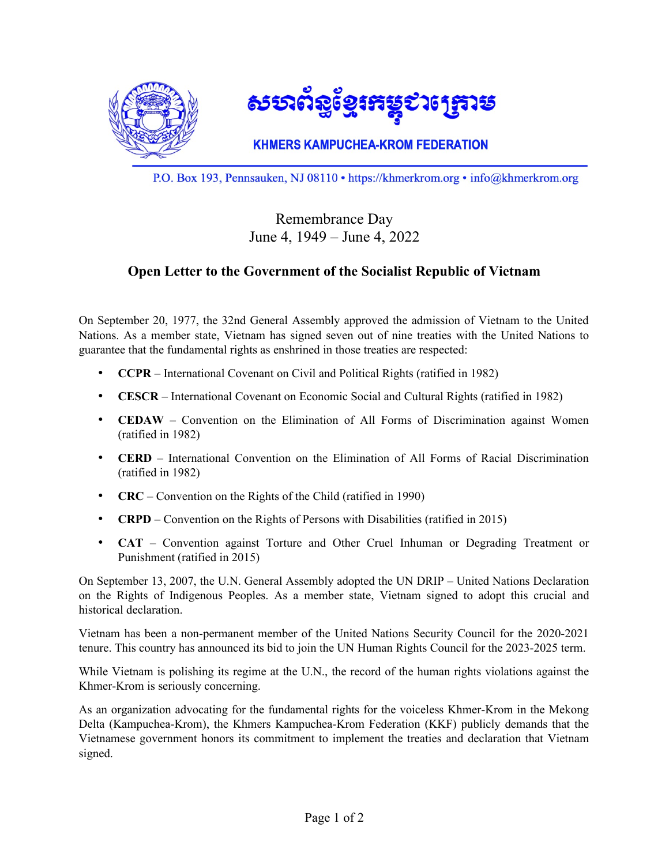

P.O. Box 193, Pennsauken, NJ 08110 • https://khmerkrom.org • info@khmerkrom.org

## Remembrance Day June 4, 1949 – June 4, 2022

## **Open Letter to the Government of the Socialist Republic of Vietnam**

On September 20, 1977, the 32nd General Assembly approved the admission of Vietnam to the United Nations. As a member state, Vietnam has signed seven out of nine treaties with the United Nations to guarantee that the fundamental rights as enshrined in those treaties are respected:

- **CCPR** International Covenant on Civil and Political Rights (ratified in 1982)
- **CESCR** International Covenant on Economic Social and Cultural Rights (ratified in 1982)
- **CEDAW** Convention on the Elimination of All Forms of Discrimination against Women (ratified in 1982)
- **CERD** International Convention on the Elimination of All Forms of Racial Discrimination (ratified in 1982)
- **CRC** Convention on the Rights of the Child (ratified in 1990)
- **CRPD** Convention on the Rights of Persons with Disabilities (ratified in 2015)
- **CAT** Convention against Torture and Other Cruel Inhuman or Degrading Treatment or Punishment (ratified in 2015)

On September 13, 2007, the U.N. General Assembly adopted the UN DRIP – United Nations Declaration on the Rights of Indigenous Peoples. As a member state, Vietnam signed to adopt this crucial and historical declaration.

Vietnam has been a non-permanent member of the United Nations Security Council for the 2020-2021 tenure. This country has announced its bid to join the UN Human Rights Council for the 2023-2025 term.

While Vietnam is polishing its regime at the U.N., the record of the human rights violations against the Khmer-Krom is seriously concerning.

As an organization advocating for the fundamental rights for the voiceless Khmer-Krom in the Mekong Delta (Kampuchea-Krom), the Khmers Kampuchea-Krom Federation (KKF) publicly demands that the Vietnamese government honors its commitment to implement the treaties and declaration that Vietnam signed.